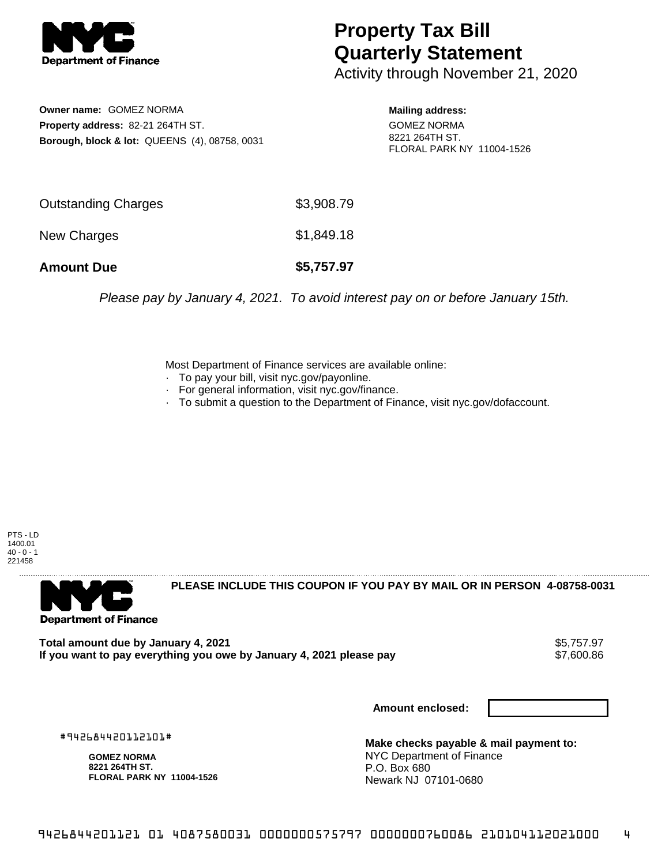

## **Property Tax Bill Quarterly Statement**

Activity through November 21, 2020

**Owner name:** GOMEZ NORMA **Property address:** 82-21 264TH ST. **Borough, block & lot:** QUEENS (4), 08758, 0031

**Mailing address:** GOMEZ NORMA 8221 264TH ST. FLORAL PARK NY 11004-1526

| <b>Amount Due</b>   | \$5,757.97 |
|---------------------|------------|
| New Charges         | \$1,849.18 |
| Outstanding Charges | \$3,908.79 |

Please pay by January 4, 2021. To avoid interest pay on or before January 15th.

Most Department of Finance services are available online:

- · To pay your bill, visit nyc.gov/payonline.
- For general information, visit nyc.gov/finance.
- · To submit a question to the Department of Finance, visit nyc.gov/dofaccount.

PTS - LD 1400.01  $40 - 0 - 1$ 221458



**PLEASE INCLUDE THIS COUPON IF YOU PAY BY MAIL OR IN PERSON 4-08758-0031** 

Total amount due by January 4, 2021<br>If you want to pay everything you owe by January 4, 2021 please pay **ship and the same of the set of the s**7,600.86 If you want to pay everything you owe by January 4, 2021 please pay

**Amount enclosed:**

#942684420112101#

**GOMEZ NORMA 8221 264TH ST. FLORAL PARK NY 11004-1526**

**Make checks payable & mail payment to:** NYC Department of Finance P.O. Box 680 Newark NJ 07101-0680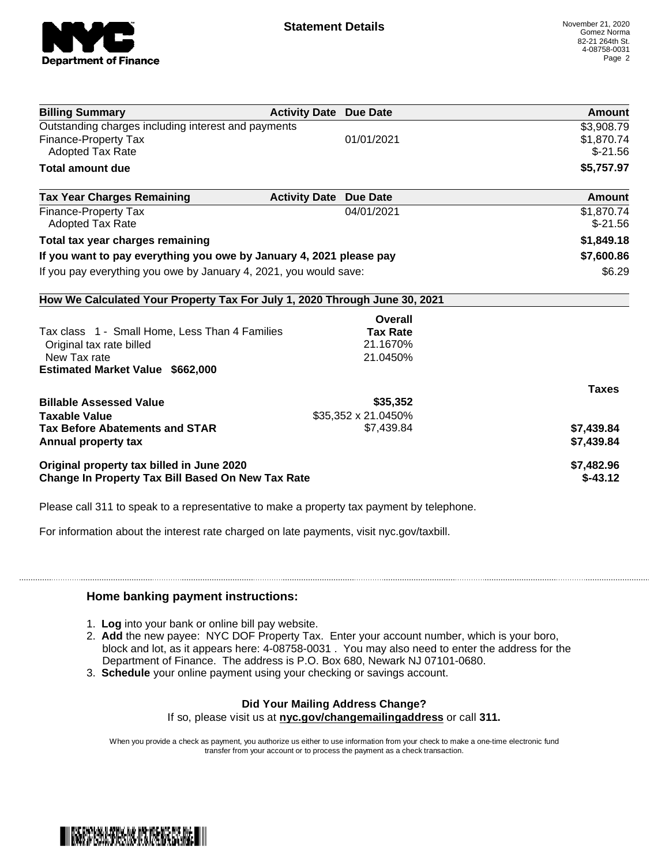

| <b>Billing Summary</b>                                                     | <b>Activity Date Due Date</b>           | <b>Amount</b> |
|----------------------------------------------------------------------------|-----------------------------------------|---------------|
| Outstanding charges including interest and payments                        |                                         | \$3,908.79    |
| Finance-Property Tax                                                       | 01/01/2021                              | \$1,870.74    |
| <b>Adopted Tax Rate</b>                                                    |                                         | $$-21.56$     |
| <b>Total amount due</b>                                                    |                                         | \$5,757.97    |
| <b>Tax Year Charges Remaining</b>                                          | <b>Activity Date</b><br><b>Due Date</b> | Amount        |
| <b>Finance-Property Tax</b>                                                | 04/01/2021                              | \$1,870.74    |
| <b>Adopted Tax Rate</b>                                                    |                                         | $$-21.56$     |
| Total tax year charges remaining                                           |                                         | \$1,849.18    |
| If you want to pay everything you owe by January 4, 2021 please pay        |                                         | \$7,600.86    |
| If you pay everything you owe by January 4, 2021, you would save:          |                                         | \$6.29        |
| How We Calculated Your Property Tax For July 1, 2020 Through June 30, 2021 |                                         |               |
|                                                                            | Overall                                 |               |
| Tax class 1 - Small Home, Less Than 4 Families                             | <b>Tax Rate</b>                         |               |
| Original tax rate billed                                                   | 21.1670%                                |               |
| New Tax rate                                                               | 21.0450%                                |               |
| <b>Estimated Market Value \$662,000</b>                                    |                                         |               |
|                                                                            |                                         | <b>Taxes</b>  |
| <b>Billable Assessed Value</b>                                             | \$35,352                                |               |
| <b>Taxable Value</b>                                                       | \$35,352 x 21.0450%                     |               |
| <b>Tax Before Abatements and STAR</b>                                      | \$7,439.84                              | \$7,439.84    |
| Annual property tax                                                        |                                         | \$7,439.84    |
| Original property tax billed in June 2020                                  |                                         | \$7,482.96    |
| <b>Change In Property Tax Bill Based On New Tax Rate</b>                   |                                         | $$-43.12$     |

Please call 311 to speak to a representative to make a property tax payment by telephone.

For information about the interest rate charged on late payments, visit nyc.gov/taxbill.

## **Home banking payment instructions:**

- 1. **Log** into your bank or online bill pay website.
- 2. **Add** the new payee: NYC DOF Property Tax. Enter your account number, which is your boro, block and lot, as it appears here: 4-08758-0031 . You may also need to enter the address for the Department of Finance. The address is P.O. Box 680, Newark NJ 07101-0680.
- 3. **Schedule** your online payment using your checking or savings account.

## **Did Your Mailing Address Change?**

If so, please visit us at **nyc.gov/changemailingaddress** or call **311.**

When you provide a check as payment, you authorize us either to use information from your check to make a one-time electronic fund transfer from your account or to process the payment as a check transaction.